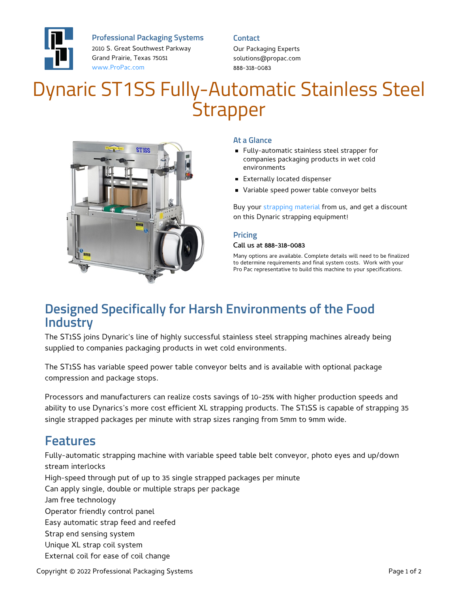

**Professional Packaging Systems**

2010 S. Great Southwest Parkway Grand Prairie, Texas 75051 [www.ProPac.com](https://www.propac.com/)

#### **Contact**

Our Packaging Experts solutions@propac.com 888-318-0083

# Dynaric ST1SS Fully-Automatic Stainless Steel **Strapper**



#### **At a Glance**

- Fully-automatic stainless steel strapper for companies packaging products in wet cold environments
- **Externally located dispenser**
- Variable speed power table conveyor belts

Buy your [strapping](file:///packaging-materials/strapping-material/) material from us, and get a discount on this Dynaric strapping equipment!

#### **Pricing**

#### Call us at 888-318-0083

Many options are available. Complete details will need to be finalized to determine requirements and final system costs. Work with your Pro Pac representative to build this machine to your specifications.

### **Designed Specifically for Harsh Environments of the Food Industry**

The ST1SS joins Dynaric's line of highly successful stainless steel strapping machines already being supplied to companies packaging products in wet cold environments.

The ST1SS has variable speed power table conveyor belts and is available with optional package compression and package stops.

Processors and manufacturers can realize costs savings of 10-25% with higher production speeds and ability to use Dynarics's more cost efficient XL strapping products. The ST1SS is capable of strapping 35 single strapped packages per minute with strap sizes ranging from 5mm to 9mm wide.

### **Features**

Fully-automatic strapping machine with variable speed table belt conveyor, photo eyes and up/down stream interlocks High-speed through put of up to 35 single strapped packages per minute Can apply single, double or multiple straps per package Jam free technology Operator friendly control panel Easy automatic strap feed and reefed Strap end sensing system Unique XL strap coil system External coil for ease of coil change

Copyright © 2022 Professional Packaging Systems **Page 1 of 2** and 2022 Professional Packaging Systems